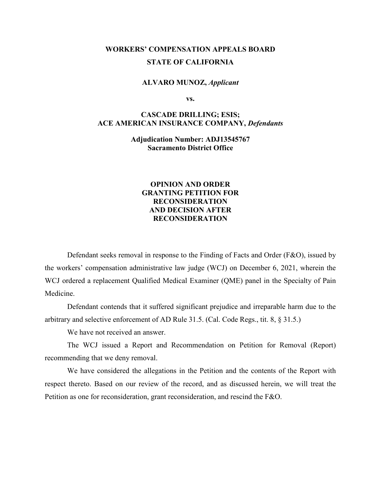# **WORKERS' COMPENSATION APPEALS BOARD STATE OF CALIFORNIA**

#### **ALVARO MUNOZ,** *Applicant*

**vs.**

### **CASCADE DRILLING; ESIS; ACE AMERICAN INSURANCE COMPANY,** *Defendants*

**Adjudication Number: ADJ13545767 Sacramento District Office**

### **OPINION AND ORDER GRANTING PETITION FOR RECONSIDERATION AND DECISION AFTER RECONSIDERATION**

Defendant seeks removal in response to the Finding of Facts and Order (F&O), issued by the workers' compensation administrative law judge (WCJ) on December 6, 2021, wherein the WCJ ordered a replacement Qualified Medical Examiner (QME) panel in the Specialty of Pain Medicine.

Defendant contends that it suffered significant prejudice and irreparable harm due to the arbitrary and selective enforcement of AD Rule 31.5. (Cal. Code Regs., tit. 8, § 31.5.)

We have not received an answer.

The WCJ issued a Report and Recommendation on Petition for Removal (Report) recommending that we deny removal.

We have considered the allegations in the Petition and the contents of the Report with respect thereto. Based on our review of the record, and as discussed herein, we will treat the Petition as one for reconsideration, grant reconsideration, and rescind the F&O.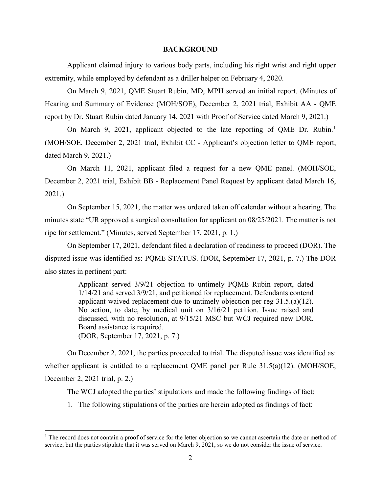#### **BACKGROUND**

Applicant claimed injury to various body parts, including his right wrist and right upper extremity, while employed by defendant as a driller helper on February 4, 2020.

On March 9, 2021, QME Stuart Rubin, MD, MPH served an initial report. (Minutes of Hearing and Summary of Evidence (MOH/SOE), December 2, 2021 trial, Exhibit AA - QME report by Dr. Stuart Rubin dated January 14, 2021 with Proof of Service dated March 9, 2021.)

On March 9, 202[1](#page-1-0), applicant objected to the late reporting of QME Dr. Rubin.<sup>1</sup> (MOH/SOE, December 2, 2021 trial, Exhibit CC - Applicant's objection letter to QME report, dated March 9, 2021.)

On March 11, 2021, applicant filed a request for a new QME panel. (MOH/SOE, December 2, 2021 trial, Exhibit BB - Replacement Panel Request by applicant dated March 16, 2021.)

On September 15, 2021, the matter was ordered taken off calendar without a hearing. The minutes state "UR approved a surgical consultation for applicant on 08/25/2021. The matter is not ripe for settlement." (Minutes, served September 17, 2021, p. 1.)

On September 17, 2021, defendant filed a declaration of readiness to proceed (DOR). The disputed issue was identified as: PQME STATUS. (DOR, September 17, 2021, p. 7.) The DOR also states in pertinent part:

> Applicant served 3/9/21 objection to untimely PQME Rubin report, dated 1/14/21 and served 3/9/21, and petitioned for replacement. Defendants contend applicant waived replacement due to untimely objection per reg 31.5.(a)(12). No action, to date, by medical unit on 3/16/21 petition. Issue raised and discussed, with no resolution, at 9/15/21 MSC but WCJ required new DOR. Board assistance is required. (DOR, September 17, 2021, p. 7.)

On December 2, 2021, the parties proceeded to trial. The disputed issue was identified as: whether applicant is entitled to a replacement QME panel per Rule 31.5(a)(12). (MOH/SOE, December 2, 2021 trial, p. 2.)

The WCJ adopted the parties' stipulations and made the following findings of fact:

1. The following stipulations of the parties are herein adopted as findings of fact:

<span id="page-1-0"></span> $<sup>1</sup>$  The record does not contain a proof of service for the letter objection so we cannot ascertain the date or method of</sup> service, but the parties stipulate that it was served on March 9, 2021, so we do not consider the issue of service.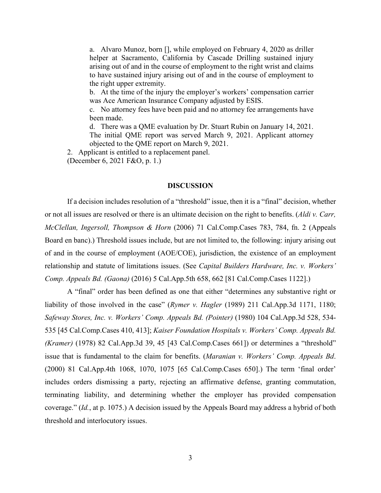a. Alvaro Munoz, born [], while employed on February 4, 2020 as driller helper at Sacramento, California by Cascade Drilling sustained injury arising out of and in the course of employment to the right wrist and claims to have sustained injury arising out of and in the course of employment to the right upper extremity.

b. At the time of the injury the employer's workers' compensation carrier was Ace American Insurance Company adjusted by ESIS.

c. No attorney fees have been paid and no attorney fee arrangements have been made.

d. There was a QME evaluation by Dr. Stuart Rubin on January 14, 2021. The initial QME report was served March 9, 2021. Applicant attorney objected to the QME report on March 9, 2021.

2. Applicant is entitled to a replacement panel. (December 6, 2021 F&O, p. 1.)

#### **DISCUSSION**

If a decision includes resolution of a "threshold" issue, then it is a "final" decision, whether or not all issues are resolved or there is an ultimate decision on the right to benefits. (*Aldi v. Carr, McClellan, Ingersoll, Thompson & Horn* (2006) 71 Cal.Comp.Cases 783, 784, fn. 2 (Appeals Board en banc).) Threshold issues include, but are not limited to, the following: injury arising out of and in the course of employment (AOE/COE), jurisdiction, the existence of an employment relationship and statute of limitations issues. (See *Capital Builders Hardware, Inc. v. Workers' Comp. Appeals Bd. (Gaona)* (2016) 5 Cal.App.5th 658, 662 [81 Cal.Comp.Cases 1122].)

A "final" order has been defined as one that either "determines any substantive right or liability of those involved in the case" (*Rymer v. Hagler* (1989) 211 Cal.App.3d 1171, 1180; *Safeway Stores, Inc. v. Workers' Comp. Appeals Bd. (Pointer)* (1980) 104 Cal.App.3d 528, 534- 535 [45 Cal.Comp.Cases 410, 413]; *Kaiser Foundation Hospitals v. Workers' Comp. Appeals Bd. (Kramer)* (1978) 82 Cal.App.3d 39, 45 [43 Cal.Comp.Cases 661]) or determines a "threshold" issue that is fundamental to the claim for benefits. (*Maranian v. Workers' Comp. Appeals Bd*. (2000) 81 Cal.App.4th 1068, 1070, 1075 [65 Cal.Comp.Cases 650].) The term 'final order' includes orders dismissing a party, rejecting an affirmative defense, granting commutation, terminating liability, and determining whether the employer has provided compensation coverage." (*Id.*, at p. 1075.) A decision issued by the Appeals Board may address a hybrid of both threshold and interlocutory issues.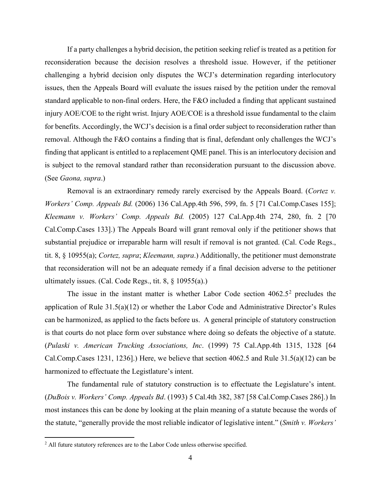If a party challenges a hybrid decision, the petition seeking relief is treated as a petition for reconsideration because the decision resolves a threshold issue. However, if the petitioner challenging a hybrid decision only disputes the WCJ's determination regarding interlocutory issues, then the Appeals Board will evaluate the issues raised by the petition under the removal standard applicable to non-final orders. Here, the F&O included a finding that applicant sustained injury AOE/COE to the right wrist. Injury AOE/COE is a threshold issue fundamental to the claim for benefits. Accordingly, the WCJ's decision is a final order subject to reconsideration rather than removal. Although the F&O contains a finding that is final, defendant only challenges the WCJ's finding that applicant is entitled to a replacement QME panel. This is an interlocutory decision and is subject to the removal standard rather than reconsideration pursuant to the discussion above. (See *Gaona, supra*.)

Removal is an extraordinary remedy rarely exercised by the Appeals Board. (*Cortez v. Workers' Comp. Appeals Bd.* (2006) 136 Cal.App.4th 596, 599, fn. 5 [71 Cal.Comp.Cases 155]; *Kleemann v. Workers' Comp. Appeals Bd.* (2005) 127 Cal.App.4th 274, 280, fn. 2 [70 Cal.Comp.Cases 133].) The Appeals Board will grant removal only if the petitioner shows that substantial prejudice or irreparable harm will result if removal is not granted. (Cal. Code Regs., tit. 8, § 10955(a); *Cortez, supra*; *Kleemann, supra*.) Additionally, the petitioner must demonstrate that reconsideration will not be an adequate remedy if a final decision adverse to the petitioner ultimately issues. (Cal. Code Regs., tit.  $8, \, \xi$  10955(a).)

The issue in the instant matter is whether Labor Code section  $4062.5^2$  $4062.5^2$  $4062.5^2$  precludes the application of Rule 31.5(a)(12) or whether the Labor Code and Administrative Director's Rules can be harmonized, as applied to the facts before us. A general principle of statutory construction is that courts do not place form over substance where doing so defeats the objective of a statute. (*Pulaski v. American Trucking Associations, Inc*. (1999) 75 Cal.App.4th 1315, 1328 [64 Cal.Comp.Cases 1231, 1236].) Here, we believe that section 4062.5 and Rule 31.5(a)(12) can be harmonized to effectuate the Legistlature's intent.

The fundamental rule of statutory construction is to effectuate the Legislature's intent. (*DuBois v. Workers' Comp. Appeals Bd*. (1993) 5 Cal.4th 382, 387 [58 Cal.Comp.Cases 286].) In most instances this can be done by looking at the plain meaning of a statute because the words of the statute, "generally provide the most reliable indicator of legislative intent." (*Smith v. Workers'*

<span id="page-3-0"></span><sup>&</sup>lt;sup>2</sup> All future statutory references are to the Labor Code unless otherwise specified.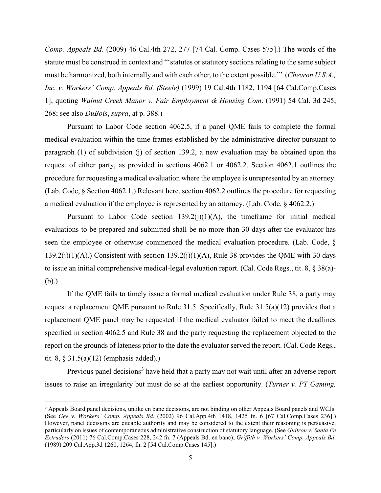*Comp. Appeals Bd*. (2009) 46 Cal.4th 272, 277 [74 Cal. Comp. Cases 575].) The words of the statute must be construed in context and "'statutes or statutory sections relating to the same subject must be harmonized, both internally and with each other, to the extent possible.'" (*Chevron U.S.A., Inc. v. Workers' Comp. Appeals Bd. (Steele)* (1999) 19 Cal.4th 1182, 1194 [64 Cal.Comp.Cases 1], quoting *Walnut Creek Manor v. Fair Employment & Housing Com*. (1991) 54 Cal. 3d 245, 268; see also *DuBois*, *supra*, at p. 388.)

Pursuant to Labor Code section 4062.5, if a panel QME fails to complete the formal medical evaluation within the time frames established by the administrative director pursuant to paragraph (1) of subdivision (j) of section 139.2, a new evaluation may be obtained upon the request of either party, as provided in sections 4062.1 or 4062.2. Section 4062.1 outlines the procedure for requesting a medical evaluation where the employee is unrepresented by an attorney. (Lab. Code, § Section 4062.1.) Relevant here, section 4062.2 outlines the procedure for requesting a medical evaluation if the employee is represented by an attorney. (Lab. Code, § 4062.2.)

Pursuant to Labor Code section  $139.2(i)(1)(A)$ , the timeframe for initial medical evaluations to be prepared and submitted shall be no more than 30 days after the evaluator has seen the employee or otherwise commenced the medical evaluation procedure. (Lab. Code, § 139.2(j)(1)(A).) Consistent with section 139.2(j)(1)(A), Rule 38 provides the QME with 30 days to issue an initial comprehensive medical-legal evaluation report. (Cal. Code Regs., tit. 8, § 38(a)- (b).)

If the QME fails to timely issue a formal medical evaluation under Rule 38, a party may request a replacement QME pursuant to Rule 31.5. Specifically, Rule 31.5(a)(12) provides that a replacement QME panel may be requested if the medical evaluator failed to meet the deadlines specified in section 4062.5 and Rule 38 and the party requesting the replacement objected to the report on the grounds of lateness prior to the date the evaluator served the report. (Cal. Code Regs., tit. 8, § 31.5(a)(12) (emphasis added).)

Previous panel decisions<sup>[3](#page-4-0)</sup> have held that a party may not wait until after an adverse report issues to raise an irregularity but must do so at the earliest opportunity. (*Turner v. PT Gaming,* 

<span id="page-4-0"></span> <sup>3</sup> Appeals Board panel decisions, unlike en banc decisions, are not binding on other Appeals Board panels and WCJs. (See *Gee v. Workers' Comp. Appeals Bd*. (2002) 96 Cal.App.4th 1418, 1425 fn. 6 [67 Cal.Comp.Cases 236].) However, panel decisions are citeable authority and may be considered to the extent their reasoning is persuasive, particularly on issues of contemporaneous administrative construction of statutory language. (See *Guitron v. Santa Fe Extruders* (2011) 76 Cal.Comp.Cases 228, 242 fn. 7 (Appeals Bd. en banc); *Griffith v. Workers' Comp. Appeals Bd*. (1989) 209 Cal.App.3d 1260, 1264, fn. 2 [54 Cal.Comp.Cases 145].)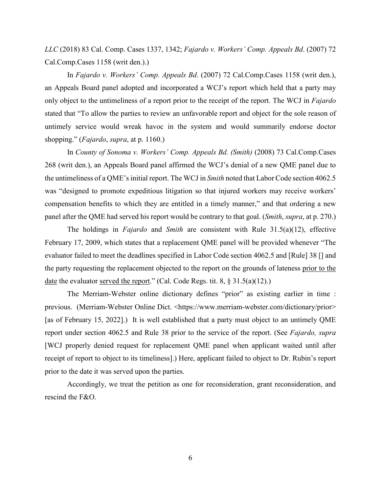*LLC* (2018) 83 Cal. Comp. Cases 1337, 1342; *Fajardo v. Workers' Comp. Appeals Bd*. (2007) 72 Cal.Comp.Cases 1158 (writ den.).)

In *Fajardo v. Workers' Comp. Appeals Bd*. (2007) 72 Cal.Comp.Cases 1158 (writ den.), an Appeals Board panel adopted and incorporated a WCJ's report which held that a party may only object to the untimeliness of a report prior to the receipt of the report. The WCJ in *Fajardo* stated that "To allow the parties to review an unfavorable report and object for the sole reason of untimely service would wreak havoc in the system and would summarily endorse doctor shopping." (*Fajardo*, *supra*, at p. 1160.)

In *County of Sonoma v. Workers' Comp. Appeals Bd. (Smith)* (2008) 73 Cal.Comp.Cases 268 (writ den.), an Appeals Board panel affirmed the WCJ's denial of a new QME panel due to the untimeliness of a QME's initial report. The WCJ in *Smith* noted that Labor Code section 4062.5 was "designed to promote expeditious litigation so that injured workers may receive workers' compensation benefits to which they are entitled in a timely manner," and that ordering a new panel after the QME had served his report would be contrary to that goal. (*Smith*, *supra*, at p. 270.)

The holdings in *Fajardo* and *Smith* are consistent with Rule 31.5(a)(12), effective February 17, 2009, which states that a replacement QME panel will be provided whenever "The evaluator failed to meet the deadlines specified in Labor Code section 4062.5 and [Rule] 38 [] and the party requesting the replacement objected to the report on the grounds of lateness prior to the date the evaluator served the report." (Cal. Code Regs. tit. 8, § 31.5(a)(12).)

The Merriam-Webster online dictionary defines "prior" as existing earlier in time : previous. (Merriam-Webster Online Dict. <https://www.merriam-webster.com/dictionary/prior> [as of February 15, 2022].) It is well established that a party must object to an untimely QME report under section 4062.5 and Rule 38 prior to the service of the report. (See *Fajardo, supra* [WCJ properly denied request for replacement QME panel when applicant waited until after receipt of report to object to its timeliness].) Here, applicant failed to object to Dr. Rubin's report prior to the date it was served upon the parties.

Accordingly, we treat the petition as one for reconsideration, grant reconsideration, and rescind the F&O.